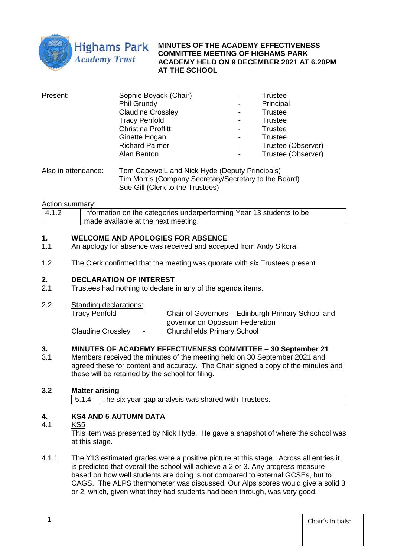

**MINUTES OF THE ACADEMY EFFECTIVENESS COMMITTEE MEETING OF HIGHAMS PARK ACADEMY HELD ON 9 DECEMBER 2021 AT 6.20PM AT THE SCHOOL**

| Present: | Sophie Boyack (Chair)     | $\qquad \qquad$          | <b>Trustee</b>     |
|----------|---------------------------|--------------------------|--------------------|
|          | Phil Grundy               | $\overline{\phantom{a}}$ | Principal          |
|          | <b>Claudine Crossley</b>  | -                        | <b>Trustee</b>     |
|          | <b>Tracy Penfold</b>      | -                        | <b>Trustee</b>     |
|          | <b>Christina Proffitt</b> | -                        | <b>Trustee</b>     |
|          | Ginette Hogan             | $\qquad \qquad$          | <b>Trustee</b>     |
|          | <b>Richard Palmer</b>     | -                        | Trustee (Observer) |
|          | Alan Benton               | $\overline{\phantom{a}}$ | Trustee (Observer) |
|          |                           |                          |                    |

Also in attendance: Tom CapewelL and Nick Hyde (Deputy Principals) Tim Morris (Company Secretary/Secretary to the Board) Sue Gill (Clerk to the Trustees)

#### Action summary:

| 4.1.2 | Information on the categories underperforming Year 13 students to be |
|-------|----------------------------------------------------------------------|
|       | made available at the next meeting.                                  |

#### **1. WELCOME AND APOLOGIES FOR ABSENCE**

- 1.1 An apology for absence was received and accepted from Andy Sikora.
- 1.2 The Clerk confirmed that the meeting was quorate with six Trustees present.

#### **2. DECLARATION OF INTEREST**

- 2.1 Trustees had nothing to declare in any of the agenda items.
- 2.2 Standing declarations:

| Tracy Penfold            | $\sim$ | Chair of Governors – Edinburgh Primary School and |
|--------------------------|--------|---------------------------------------------------|
|                          |        | governor on Opossum Federation                    |
| <b>Claudine Crossley</b> | $\sim$ | <b>Churchfields Primary School</b>                |

### **3. MINUTES OF ACADEMY EFFECTIVENESS COMMITTEE – 30 September 21**

3.1 Members received the minutes of the meeting held on 30 September 2021 and agreed these for content and accuracy. The Chair signed a copy of the minutes and these will be retained by the school for filing.

### **3.2 Matter arising**

5.1.4 The six year gap analysis was shared with Trustees.

## **4. KS4 AND 5 AUTUMN DATA**

#### 4.1 KS5

This item was presented by Nick Hyde. He gave a snapshot of where the school was at this stage.

4.1.1 The Y13 estimated grades were a positive picture at this stage. Across all entries it is predicted that overall the school will achieve a 2 or 3. Any progress measure based on how well students are doing is not compared to external GCSEs, but to CAGS. The ALPS thermometer was discussed. Our Alps scores would give a solid 3 or 2, which, given what they had students had been through, was very good.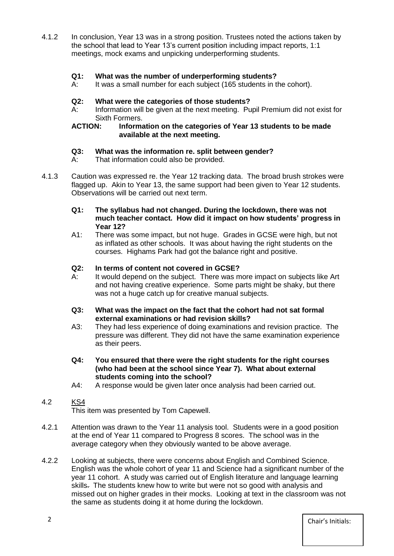4.1.2 In conclusion, Year 13 was in a strong position. Trustees noted the actions taken by the school that lead to Year 13's current position including impact reports, 1:1 meetings, mock exams and unpicking underperforming students.

#### **Q1: What was the number of underperforming students?**

A: It was a small number for each subject (165 students in the cohort).

#### **Q2: What were the categories of those students?**

A: Information will be given at the next meeting. Pupil Premium did not exist for Sixth Formers.

#### **ACTION: Information on the categories of Year 13 students to be made available at the next meeting.**

#### **Q3: What was the information re. split between gender?**

- A: That information could also be provided.
- 4.1.3 Caution was expressed re. the Year 12 tracking data. The broad brush strokes were flagged up. Akin to Year 13, the same support had been given to Year 12 students. Observations will be carried out next term.
	- **Q1: The syllabus had not changed. During the lockdown, there was not much teacher contact. How did it impact on how students' progress in Year 12?**
	- A1: There was some impact, but not huge. Grades in GCSE were high, but not as inflated as other schools. It was about having the right students on the courses. Highams Park had got the balance right and positive.

#### **Q2: In terms of content not covered in GCSE?**

- A: It would depend on the subject. There was more impact on subjects like Art and not having creative experience. Some parts might be shaky, but there was not a huge catch up for creative manual subjects.
- **Q3: What was the impact on the fact that the cohort had not sat formal external examinations or had revision skills?**
- A3: They had less experience of doing examinations and revision practice. The pressure was different. They did not have the same examination experience as their peers.
- **Q4: You ensured that there were the right students for the right courses (who had been at the school since Year 7). What about external students coming into the school?**
- A4: A response would be given later once analysis had been carried out.

## 4.2 KS4

This item was presented by Tom Capewell.

- 4.2.1 Attention was drawn to the Year 11 analysis tool. Students were in a good position at the end of Year 11 compared to Progress 8 scores. The school was in the average category when they obviously wanted to be above average.
- 4.2.2 Looking at subjects, there were concerns about English and Combined Science. English was the whole cohort of year 11 and Science had a significant number of the year 11 cohort. A study was carried out of English literature and language learning skills. The students knew how to write but were not so good with analysis and missed out on higher grades in their mocks. Looking at text in the classroom was not the same as students doing it at home during the lockdown.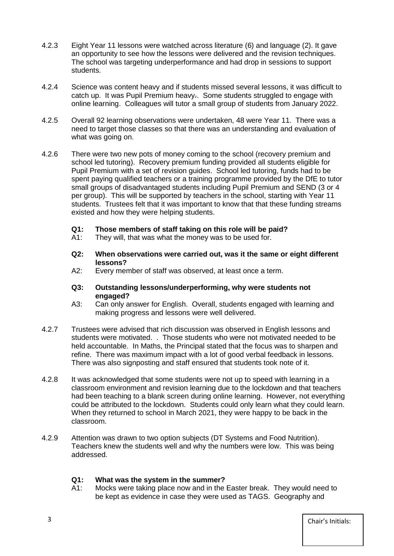- 4.2.3 Eight Year 11 lessons were watched across literature (6) and language (2). It gave an opportunity to see how the lessons were delivered and the revision techniques. The school was targeting underperformance and had drop in sessions to support students.
- 4.2.4 Science was content heavy and if students missed several lessons, it was difficult to catch up. It was Pupil Premium heavy.. Some students struggled to engage with online learning. Colleagues will tutor a small group of students from January 2022.
- 4.2.5 Overall 92 learning observations were undertaken, 48 were Year 11. There was a need to target those classes so that there was an understanding and evaluation of what was going on.
- 4.2.6 There were two new pots of money coming to the school (recovery premium and school led tutoring). Recovery premium funding provided all students eligible for Pupil Premium with a set of revision guides. School led tutoring, funds had to be spent paying qualified teachers or a training programme provided by the DfE to tutor small groups of disadvantaged students including Pupil Premium and SEND (3 or 4 per group). This will be supported by teachers in the school, starting with Year 11 students. Trustees felt that it was important to know that that these funding streams existed and how they were helping students.
	- **Q1: Those members of staff taking on this role will be paid?**
	- A1: They will, that was what the money was to be used for.
	- **Q2: When observations were carried out, was it the same or eight different lessons?**
	- A2: Every member of staff was observed, at least once a term.
	- **Q3: Outstanding lessons/underperforming, why were students not engaged?**
	- A3: Can only answer for English. Overall, students engaged with learning and making progress and lessons were well delivered.
- 4.2.7 Trustees were advised that rich discussion was observed in English lessons and students were motivated. . Those students who were not motivated needed to be held accountable. In Maths, the Principal stated that the focus was to sharpen and refine. There was maximum impact with a lot of good verbal feedback in lessons. There was also signposting and staff ensured that students took note of it.
- 4.2.8 It was acknowledged that some students were not up to speed with learning in a classroom environment and revision learning due to the lockdown and that teachers had been teaching to a blank screen during online learning. However, not everything could be attributed to the lockdown. Students could only learn what they could learn. When they returned to school in March 2021, they were happy to be back in the classroom.
- 4.2.9 Attention was drawn to two option subjects (DT Systems and Food Nutrition). Teachers knew the students well and why the numbers were low. This was being addressed.

#### **Q1: What was the system in the summer?**

A1: Mocks were taking place now and in the Easter break. They would need to be kept as evidence in case they were used as TAGS. Geography and